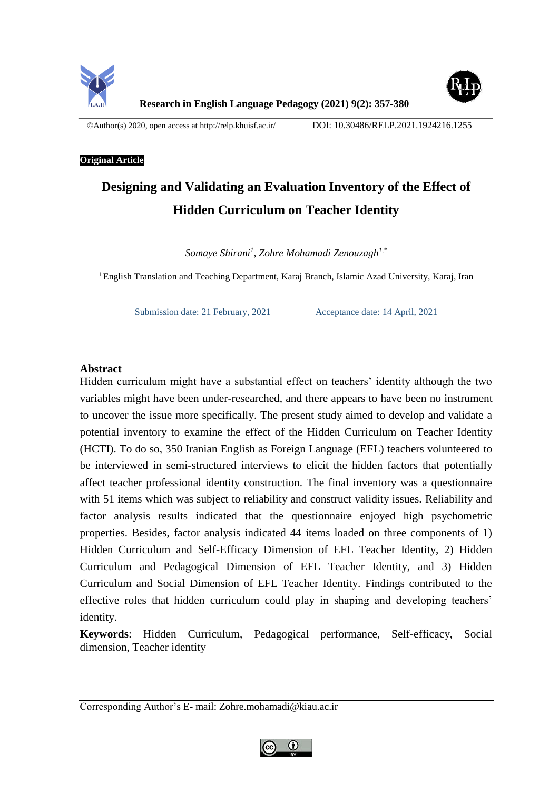



©Author(s) 2020, open access at<http://relp.khuisf.ac.ir/>DOI: 10.30486/RELP.2021.1924216.1255

#### **Original Article**

# **Designing and Validating an Evaluation Inventory of the Effect of Hidden Curriculum on Teacher Identity**

*Somaye Shirani<sup>1</sup> , Zohre Mohamadi Zenouzagh1,\**

<sup>1</sup>English Translation and Teaching Department, Karaj Branch, Islamic Azad University, Karaj, Iran

Submission date: 21 February, 2021 Acceptance date: 14 April, 2021

# **Abstract**

Hidden curriculum might have a substantial effect on teachers' identity although the two variables might have been under-researched, and there appears to have been no instrument to uncover the issue more specifically. The present study aimed to develop and validate a potential inventory to examine the effect of the Hidden Curriculum on Teacher Identity (HCTI). To do so, 350 Iranian English as Foreign Language (EFL) teachers volunteered to be interviewed in semi-structured interviews to elicit the hidden factors that potentially affect teacher professional identity construction. The final inventory was a questionnaire with 51 items which was subject to reliability and construct validity issues. Reliability and factor analysis results indicated that the questionnaire enjoyed high psychometric properties. Besides, factor analysis indicated 44 items loaded on three components of 1) Hidden Curriculum and Self-Efficacy Dimension of EFL Teacher Identity, 2) Hidden Curriculum and Pedagogical Dimension of EFL Teacher Identity, and 3) Hidden Curriculum and Social Dimension of EFL Teacher Identity. Findings contributed to the effective roles that hidden curriculum could play in shaping and developing teachers' identity.

**Keywords**: Hidden Curriculum, Pedagogical performance, Self-efficacy, Social dimension, Teacher identity

Corresponding Author's E- mail: Zohre.mohamadi@kiau.ac.ir

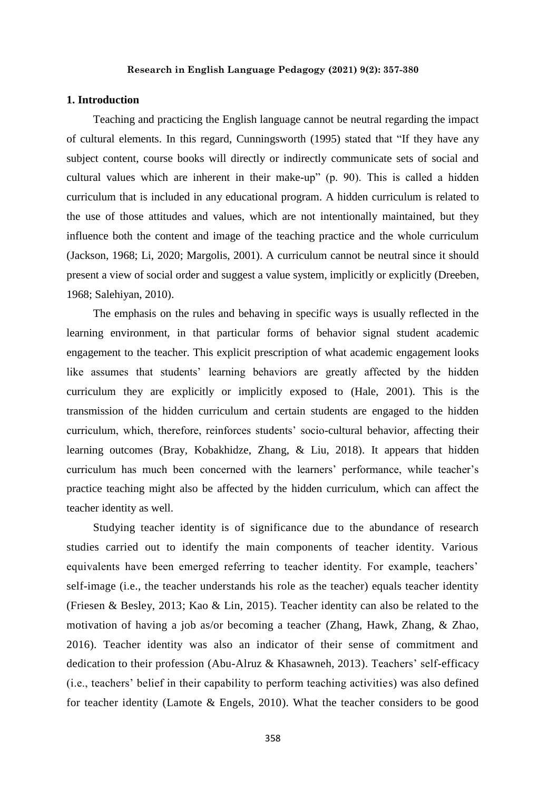#### **1. Introduction**

Teaching and practicing the English language cannot be neutral regarding the impact of cultural elements. In this regard, Cunningsworth (1995) stated that "If they have any subject content, course books will directly or indirectly communicate sets of social and cultural values which are inherent in their make-up" (p. 90). This is called a hidden curriculum that is included in any educational program. A hidden curriculum is related to the use of those attitudes and values, which are not intentionally maintained, but they influence both the content and image of the teaching practice and the whole curriculum (Jackson, 1968; Li, 2020; Margolis, 2001). A curriculum cannot be neutral since it should present a view of social order and suggest a value system, implicitly or explicitly (Dreeben, 1968; Salehiyan, 2010).

The emphasis on the rules and behaving in specific ways is usually reflected in the learning environment, in that particular forms of behavior signal student academic engagement to the teacher. This explicit prescription of what academic engagement looks like assumes that students' learning behaviors are greatly affected by the hidden curriculum they are explicitly or implicitly exposed to (Hale, 2001). This is the transmission of the hidden curriculum and certain students are engaged to the hidden curriculum, which, therefore, reinforces students' socio-cultural behavior, affecting their learning outcomes (Bray, Kobakhidze, Zhang, & Liu, 2018). It appears that hidden curriculum has much been concerned with the learners' performance, while teacher's practice teaching might also be affected by the hidden curriculum, which can affect the teacher identity as well.

Studying teacher identity is of significance due to the abundance of research studies carried out to identify the main components of teacher identity. Various equivalents have been emerged referring to teacher identity. For example, teachers' self-image (i.e., the teacher understands his role as the teacher) equals teacher identity (Friesen & Besley, 2013; Kao & Lin, 2015). Teacher identity can also be related to the motivation of having a job as/or becoming a teacher (Zhang, Hawk, Zhang, & Zhao, 2016). Teacher identity was also an indicator of their sense of commitment and dedication to their profession (Abu-Alruz & Khasawneh, 2013). Teachers' self-efficacy (i.e., teachers' belief in their capability to perform teaching activities) was also defined for teacher identity (Lamote & Engels, 2010). What the teacher considers to be good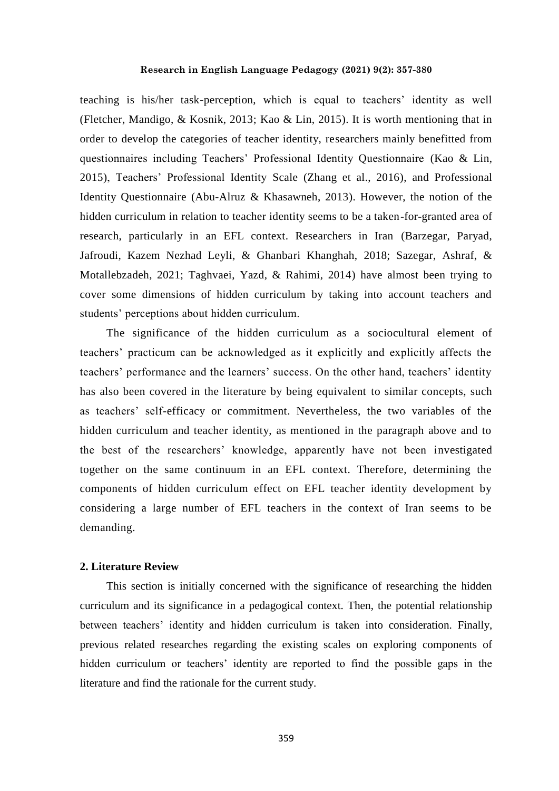teaching is his/her task-perception, which is equal to teachers' identity as well (Fletcher, Mandigo, & Kosnik, 2013; Kao & Lin, 2015). It is worth mentioning that in order to develop the categories of teacher identity, researchers mainly benefitted from questionnaires including Teachers' Professional Identity Questionnaire (Kao & Lin, 2015), Teachers' Professional Identity Scale (Zhang et al., 2016), and Professional Identity Questionnaire (Abu-Alruz & Khasawneh, 2013). However, the notion of the hidden curriculum in relation to teacher identity seems to be a taken-for-granted area of research, particularly in an EFL context. Researchers in Iran (Barzegar, Paryad, Jafroudi, Kazem Nezhad Leyli, & Ghanbari Khanghah, 2018; Sazegar, Ashraf, & Motallebzadeh, 2021; Taghvaei, Yazd, & Rahimi, 2014) have almost been trying to cover some dimensions of hidden curriculum by taking into account teachers and students' perceptions about hidden curriculum.

The significance of the hidden curriculum as a sociocultural element of teachers' practicum can be acknowledged as it explicitly and explicitly affects the teachers' performance and the learners' success. On the other hand, teachers' identity has also been covered in the literature by being equivalent to similar concepts, such as teachers' self-efficacy or commitment. Nevertheless, the two variables of the hidden curriculum and teacher identity, as mentioned in the paragraph above and to the best of the researchers' knowledge, apparently have not been investigated together on the same continuum in an EFL context. Therefore, determining the components of hidden curriculum effect on EFL teacher identity development by considering a large number of EFL teachers in the context of Iran seems to be demanding.

#### **2. Literature Review**

This section is initially concerned with the significance of researching the hidden curriculum and its significance in a pedagogical context. Then, the potential relationship between teachers' identity and hidden curriculum is taken into consideration. Finally, previous related researches regarding the existing scales on exploring components of hidden curriculum or teachers' identity are reported to find the possible gaps in the literature and find the rationale for the current study.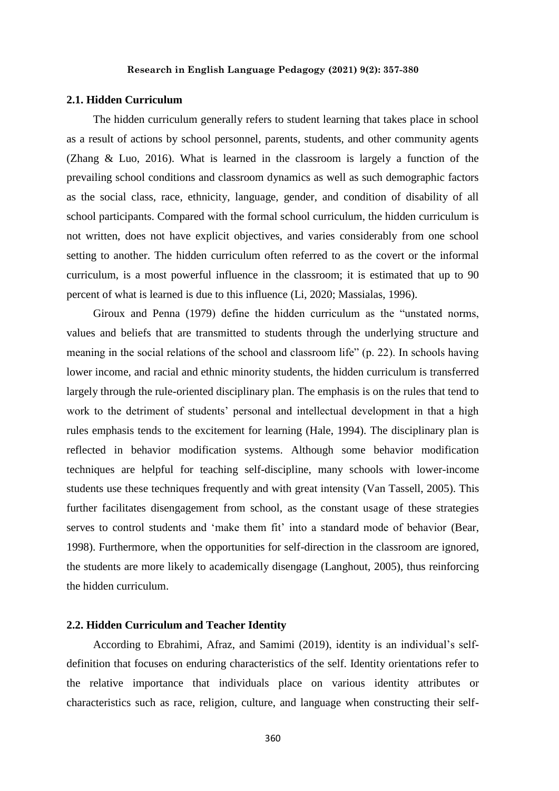## **2.1. Hidden Curriculum**

The hidden curriculum generally refers to student learning that takes place in school as a result of actions by school personnel, parents, students, and other community agents (Zhang & Luo, 2016). What is learned in the classroom is largely a function of the prevailing school conditions and classroom dynamics as well as such demographic factors as the social class, race, ethnicity, language, gender, and condition of disability of all school participants. Compared with the formal school curriculum, the hidden curriculum is not written, does not have explicit objectives, and varies considerably from one school setting to another. The hidden curriculum often referred to as the covert or the informal curriculum, is a most powerful influence in the classroom; it is estimated that up to 90 percent of what is learned is due to this influence (Li, 2020; Massialas, 1996).

Giroux and Penna (1979) define the hidden curriculum as the "unstated norms, values and beliefs that are transmitted to students through the underlying structure and meaning in the social relations of the school and classroom life" (p. 22). In schools having lower income, and racial and ethnic minority students, the hidden curriculum is transferred largely through the rule-oriented disciplinary plan. The emphasis is on the rules that tend to work to the detriment of students' personal and intellectual development in that a high rules emphasis tends to the excitement for learning (Hale, 1994). The disciplinary plan is reflected in behavior modification systems. Although some behavior modification techniques are helpful for teaching self-discipline, many schools with lower-income students use these techniques frequently and with great intensity (Van Tassell, 2005). This further facilitates disengagement from school, as the constant usage of these strategies serves to control students and 'make them fit' into a standard mode of behavior (Bear, 1998). Furthermore, when the opportunities for self-direction in the classroom are ignored, the students are more likely to academically disengage (Langhout, 2005), thus reinforcing the hidden curriculum.

## **2.2. Hidden Curriculum and Teacher Identity**

According to Ebrahimi, Afraz, and Samimi (2019), identity is an individual's selfdefinition that focuses on enduring characteristics of the self. Identity orientations refer to the relative importance that individuals place on various identity attributes or characteristics such as race, religion, culture, and language when constructing their self-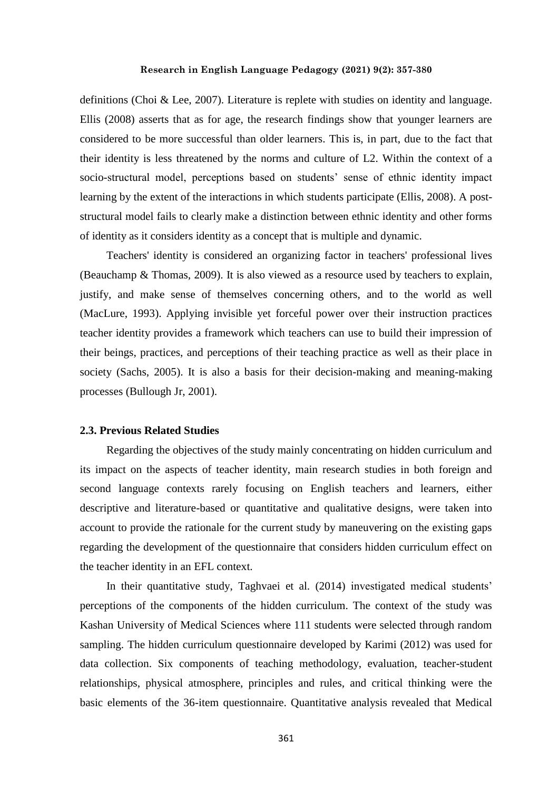definitions (Choi & Lee, 2007). Literature is replete with studies on identity and language. Ellis (2008) asserts that as for age, the research findings show that younger learners are considered to be more successful than older learners. This is, in part, due to the fact that their identity is less threatened by the norms and culture of L2. Within the context of a socio-structural model, perceptions based on students' sense of ethnic identity impact learning by the extent of the interactions in which students participate (Ellis, 2008). A poststructural model fails to clearly make a distinction between ethnic identity and other forms of identity as it considers identity as a concept that is multiple and dynamic.

Teachers' identity is considered an organizing factor in teachers' professional lives (Beauchamp & Thomas, 2009). It is also viewed as a resource used by teachers to explain, justify, and make sense of themselves concerning others, and to the world as well (MacLure, 1993). Applying invisible yet forceful power over their instruction practices teacher identity provides a framework which teachers can use to build their impression of their beings, practices, and perceptions of their teaching practice as well as their place in society (Sachs, 2005). It is also a basis for their decision-making and meaning-making processes (Bullough Jr, 2001).

## **2.3. Previous Related Studies**

Regarding the objectives of the study mainly concentrating on hidden curriculum and its impact on the aspects of teacher identity, main research studies in both foreign and second language contexts rarely focusing on English teachers and learners, either descriptive and literature-based or quantitative and qualitative designs, were taken into account to provide the rationale for the current study by maneuvering on the existing gaps regarding the development of the questionnaire that considers hidden curriculum effect on the teacher identity in an EFL context.

In their quantitative study, Taghvaei et al. (2014) investigated medical students' perceptions of the components of the hidden curriculum. The context of the study was Kashan University of Medical Sciences where 111 students were selected through random sampling. The hidden curriculum questionnaire developed by Karimi (2012) was used for data collection. Six components of teaching methodology, evaluation, teacher-student relationships, physical atmosphere, principles and rules, and critical thinking were the basic elements of the 36-item questionnaire. Quantitative analysis revealed that Medical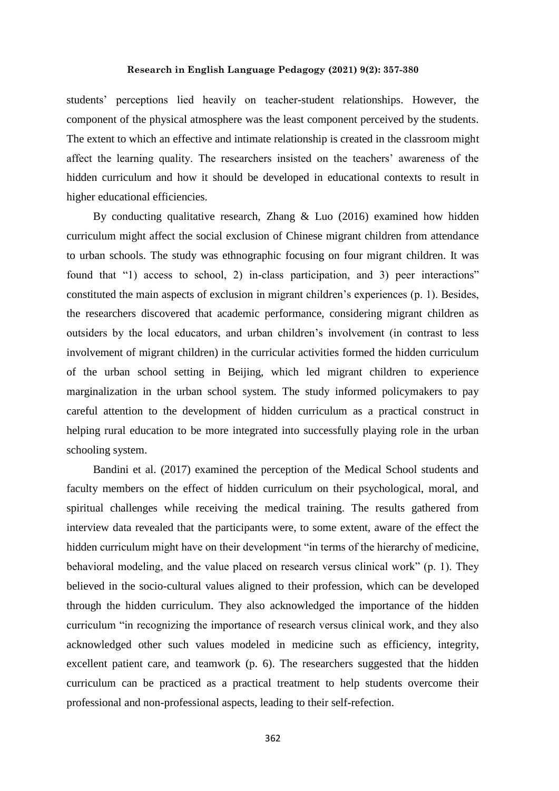students' perceptions lied heavily on teacher-student relationships. However, the component of the physical atmosphere was the least component perceived by the students. The extent to which an effective and intimate relationship is created in the classroom might affect the learning quality. The researchers insisted on the teachers' awareness of the hidden curriculum and how it should be developed in educational contexts to result in higher educational efficiencies.

By conducting qualitative research, Zhang & Luo (2016) examined how hidden curriculum might affect the social exclusion of Chinese migrant children from attendance to urban schools. The study was ethnographic focusing on four migrant children. It was found that "1) access to school, 2) in-class participation, and 3) peer interactions" constituted the main aspects of exclusion in migrant children's experiences (p. 1). Besides, the researchers discovered that academic performance, considering migrant children as outsiders by the local educators, and urban children's involvement (in contrast to less involvement of migrant children) in the curricular activities formed the hidden curriculum of the urban school setting in Beijing, which led migrant children to experience marginalization in the urban school system. The study informed policymakers to pay careful attention to the development of hidden curriculum as a practical construct in helping rural education to be more integrated into successfully playing role in the urban schooling system.

Bandini et al. (2017) examined the perception of the Medical School students and faculty members on the effect of hidden curriculum on their psychological, moral, and spiritual challenges while receiving the medical training. The results gathered from interview data revealed that the participants were, to some extent, aware of the effect the hidden curriculum might have on their development "in terms of the hierarchy of medicine, behavioral modeling, and the value placed on research versus clinical work" (p. 1). They believed in the socio-cultural values aligned to their profession, which can be developed through the hidden curriculum. They also acknowledged the importance of the hidden curriculum "in recognizing the importance of research versus clinical work, and they also acknowledged other such values modeled in medicine such as efficiency, integrity, excellent patient care, and teamwork (p. 6). The researchers suggested that the hidden curriculum can be practiced as a practical treatment to help students overcome their professional and non-professional aspects, leading to their self-refection.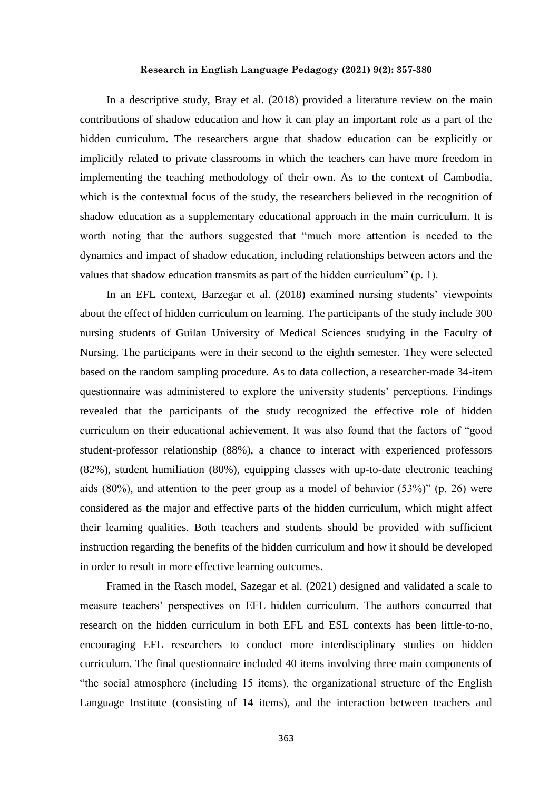In a descriptive study, Bray et al. (2018) provided a literature review on the main contributions of shadow education and how it can play an important role as a part of the hidden curriculum. The researchers argue that shadow education can be explicitly or implicitly related to private classrooms in which the teachers can have more freedom in implementing the teaching methodology of their own. As to the context of Cambodia, which is the contextual focus of the study, the researchers believed in the recognition of shadow education as a supplementary educational approach in the main curriculum. It is worth noting that the authors suggested that "much more attention is needed to the dynamics and impact of shadow education, including relationships between actors and the values that shadow education transmits as part of the hidden curriculum" (p. 1).

In an EFL context, Barzegar et al. (2018) examined nursing students' viewpoints about the effect of hidden curriculum on learning. The participants of the study include 300 nursing students of Guilan University of Medical Sciences studying in the Faculty of Nursing. The participants were in their second to the eighth semester. They were selected based on the random sampling procedure. As to data collection, a researcher-made 34-item questionnaire was administered to explore the university students' perceptions. Findings revealed that the participants of the study recognized the effective role of hidden curriculum on their educational achievement. It was also found that the factors of "good student-professor relationship (88%), a chance to interact with experienced professors (82%), student humiliation (80%), equipping classes with up-to-date electronic teaching aids (80%), and attention to the peer group as a model of behavior (53%)" (p. 26) were considered as the major and effective parts of the hidden curriculum, which might affect their learning qualities. Both teachers and students should be provided with sufficient instruction regarding the benefits of the hidden curriculum and how it should be developed in order to result in more effective learning outcomes.

Framed in the Rasch model, Sazegar et al. (2021) designed and validated a scale to measure teachers' perspectives on EFL hidden curriculum. The authors concurred that research on the hidden curriculum in both EFL and ESL contexts has been little-to-no, encouraging EFL researchers to conduct more interdisciplinary studies on hidden curriculum. The final questionnaire included 40 items involving three main components of "the social atmosphere (including 15 items), the organizational structure of the English Language Institute (consisting of 14 items), and the interaction between teachers and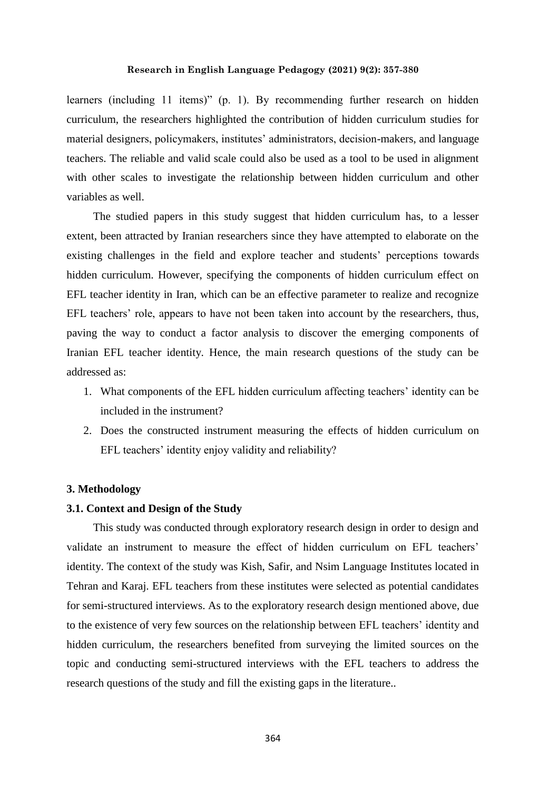learners (including 11 items)" (p. 1). By recommending further research on hidden curriculum, the researchers highlighted the contribution of hidden curriculum studies for material designers, policymakers, institutes' administrators, decision-makers, and language teachers. The reliable and valid scale could also be used as a tool to be used in alignment with other scales to investigate the relationship between hidden curriculum and other variables as well.

The studied papers in this study suggest that hidden curriculum has, to a lesser extent, been attracted by Iranian researchers since they have attempted to elaborate on the existing challenges in the field and explore teacher and students' perceptions towards hidden curriculum. However, specifying the components of hidden curriculum effect on EFL teacher identity in Iran, which can be an effective parameter to realize and recognize EFL teachers' role, appears to have not been taken into account by the researchers, thus, paving the way to conduct a factor analysis to discover the emerging components of Iranian EFL teacher identity. Hence, the main research questions of the study can be addressed as:

- 1. What components of the EFL hidden curriculum affecting teachers' identity can be included in the instrument?
- 2. Does the constructed instrument measuring the effects of hidden curriculum on EFL teachers' identity enjoy validity and reliability?

#### **3. Methodology**

# **3.1. Context and Design of the Study**

This study was conducted through exploratory research design in order to design and validate an instrument to measure the effect of hidden curriculum on EFL teachers' identity. The context of the study was Kish, Safir, and Nsim Language Institutes located in Tehran and Karaj. EFL teachers from these institutes were selected as potential candidates for semi-structured interviews. As to the exploratory research design mentioned above, due to the existence of very few sources on the relationship between EFL teachers' identity and hidden curriculum, the researchers benefited from surveying the limited sources on the topic and conducting semi-structured interviews with the EFL teachers to address the research questions of the study and fill the existing gaps in the literature..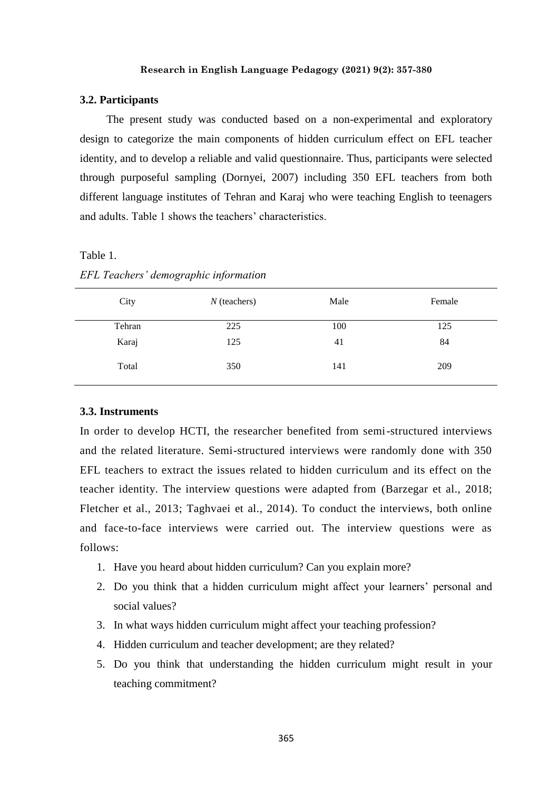#### **3.2. Participants**

The present study was conducted based on a non-experimental and exploratory design to categorize the main components of hidden curriculum effect on EFL teacher identity, and to develop a reliable and valid questionnaire. Thus, participants were selected through purposeful sampling (Dornyei, 2007) including 350 EFL teachers from both different language institutes of Tehran and Karaj who were teaching English to teenagers and adults. Table 1 shows the teachers' characteristics.

Table 1.

| City   | $N$ (teachers) | Male | Female |
|--------|----------------|------|--------|
| Tehran | 225            | 100  | 125    |
| Karaj  | 125            | 41   | 84     |
| Total  | 350            | 141  | 209    |

*EFL Teachers' demographic information* 

#### **3.3. Instruments**

In order to develop HCTI, the researcher benefited from semi-structured interviews and the related literature. Semi-structured interviews were randomly done with 350 EFL teachers to extract the issues related to hidden curriculum and its effect on the teacher identity. The interview questions were adapted from (Barzegar et al., 2018; Fletcher et al., 2013; Taghvaei et al., 2014). To conduct the interviews, both online and face-to-face interviews were carried out. The interview questions were as follows:

- 1. Have you heard about hidden curriculum? Can you explain more?
- 2. Do you think that a hidden curriculum might affect your learners' personal and social values?
- 3. In what ways hidden curriculum might affect your teaching profession?
- 4. Hidden curriculum and teacher development; are they related?
- 5. Do you think that understanding the hidden curriculum might result in your teaching commitment?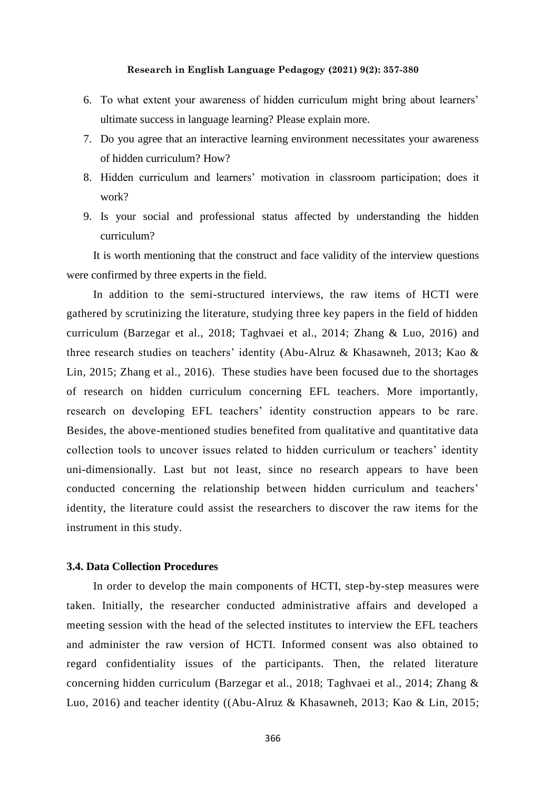- 6. To what extent your awareness of hidden curriculum might bring about learners' ultimate success in language learning? Please explain more.
- 7. Do you agree that an interactive learning environment necessitates your awareness of hidden curriculum? How?
- 8. Hidden curriculum and learners' motivation in classroom participation; does it work?
- 9. Is your social and professional status affected by understanding the hidden curriculum?

It is worth mentioning that the construct and face validity of the interview questions were confirmed by three experts in the field.

In addition to the semi-structured interviews, the raw items of HCTI were gathered by scrutinizing the literature, studying three key papers in the field of hidden curriculum (Barzegar et al., 2018; Taghvaei et al., 2014; Zhang & Luo, 2016) and three research studies on teachers' identity (Abu-Alruz & Khasawneh, 2013; Kao & Lin, 2015; Zhang et al., 2016). These studies have been focused due to the shortages of research on hidden curriculum concerning EFL teachers. More importantly, research on developing EFL teachers' identity construction appears to be rare. Besides, the above-mentioned studies benefited from qualitative and quantitative data collection tools to uncover issues related to hidden curriculum or teachers' identity uni-dimensionally. Last but not least, since no research appears to have been conducted concerning the relationship between hidden curriculum and teachers' identity, the literature could assist the researchers to discover the raw items for the instrument in this study.

#### **3.4. Data Collection Procedures**

In order to develop the main components of HCTI, step-by-step measures were taken. Initially, the researcher conducted administrative affairs and developed a meeting session with the head of the selected institutes to interview the EFL teachers and administer the raw version of HCTI. Informed consent was also obtained to regard confidentiality issues of the participants. Then, the related literature concerning hidden curriculum (Barzegar et al., 2018; Taghvaei et al., 2014; Zhang & Luo, 2016) and teacher identity ((Abu-Alruz & Khasawneh, 2013; Kao & Lin, 2015;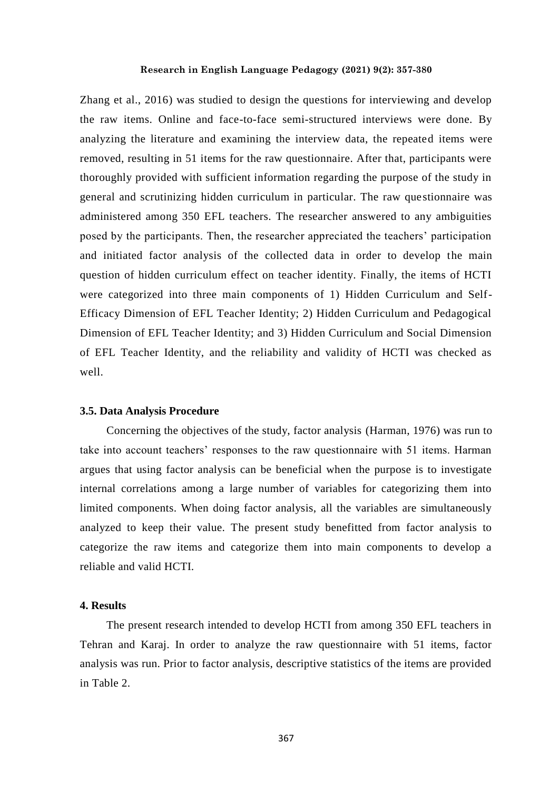Zhang et al., 2016) was studied to design the questions for interviewing and develop the raw items. Online and face-to-face semi-structured interviews were done. By analyzing the literature and examining the interview data, the repeated items were removed, resulting in 51 items for the raw questionnaire. After that, participants were thoroughly provided with sufficient information regarding the purpose of the study in general and scrutinizing hidden curriculum in particular. The raw questionnaire was administered among 350 EFL teachers. The researcher answered to any ambiguities posed by the participants. Then, the researcher appreciated the teachers' participation and initiated factor analysis of the collected data in order to develop the main question of hidden curriculum effect on teacher identity. Finally, the items of HCTI were categorized into three main components of 1) Hidden Curriculum and Self-Efficacy Dimension of EFL Teacher Identity; 2) Hidden Curriculum and Pedagogical Dimension of EFL Teacher Identity; and 3) Hidden Curriculum and Social Dimension of EFL Teacher Identity, and the reliability and validity of HCTI was checked as well.

#### **3.5. Data Analysis Procedure**

Concerning the objectives of the study, factor analysis (Harman, 1976) was run to take into account teachers' responses to the raw questionnaire with 51 items. Harman argues that using factor analysis can be beneficial when the purpose is to investigate internal correlations among a large number of variables for categorizing them into limited components. When doing factor analysis, all the variables are simultaneously analyzed to keep their value. The present study benefitted from factor analysis to categorize the raw items and categorize them into main components to develop a reliable and valid HCTI.

## **4. Results**

The present research intended to develop HCTI from among 350 EFL teachers in Tehran and Karaj. In order to analyze the raw questionnaire with 51 items, factor analysis was run. Prior to factor analysis, descriptive statistics of the items are provided in Table 2.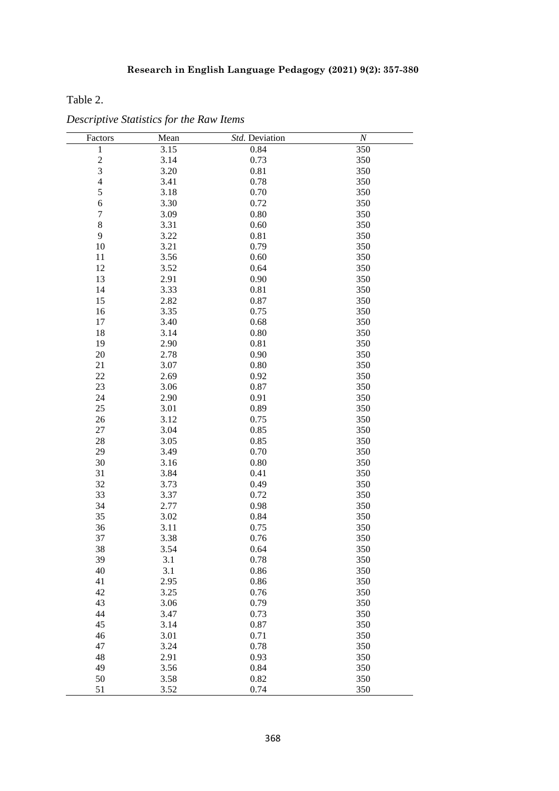Table 2.

| Factors                  | Mean         | Std. Deviation | $\cal N$   |
|--------------------------|--------------|----------------|------------|
| $\mathbf{1}$             | 3.15         | 0.84           | 350        |
| $\frac{2}{3}$            | 3.14         | 0.73           | 350        |
|                          | 3.20         | 0.81           | 350        |
| $\overline{\mathcal{L}}$ | 3.41         | 0.78           | 350        |
| 5                        | 3.18         | 0.70           | 350        |
| 6                        | 3.30         | 0.72           | 350        |
| $\overline{7}$           | 3.09         | 0.80           | 350        |
| 8                        | 3.31         | 0.60           | 350        |
| 9                        | 3.22         | 0.81           | 350        |
| 10                       | 3.21         | 0.79           | 350        |
| 11                       | 3.56         | 0.60           | 350        |
| 12                       | 3.52         | 0.64           | 350        |
| 13                       | 2.91         | 0.90           | 350        |
| 14                       | 3.33         | 0.81           | 350        |
| 15                       | 2.82         | 0.87           | 350        |
| 16                       | 3.35         | 0.75           | 350        |
| 17                       | 3.40         | 0.68           | 350        |
| 18                       | 3.14         | 0.80           | 350        |
| 19                       | 2.90         | 0.81           | 350        |
| 20                       | 2.78         | 0.90           | 350        |
| 21                       | 3.07         | 0.80           | 350        |
| 22                       | 2.69         | 0.92           | 350        |
| 23                       | 3.06         | 0.87           | 350        |
| 24                       | 2.90         | 0.91           | 350        |
| 25                       | 3.01         | 0.89           | 350        |
| 26                       |              |                |            |
| 27                       | 3.12<br>3.04 | 0.75<br>0.85   | 350<br>350 |
| 28                       | 3.05         | 0.85           |            |
|                          |              |                | 350        |
| 29                       | 3.49         | 0.70           | 350        |
| 30                       | 3.16         | 0.80           | 350        |
| 31                       | 3.84         | 0.41           | 350        |
| 32                       | 3.73         | 0.49           | 350        |
| 33                       | 3.37         | 0.72           | 350        |
| 34                       | 2.77         | 0.98           | 350        |
| 35                       | 3.02         | 0.84           | 350        |
| 36                       | 3.11         | 0.75           | 350        |
| 37                       | 3.38         | 0.76           | 350        |
| 38                       | 3.54         | 0.64           | 350        |
| 39                       | 3.1          | 0.78           | 350        |
| 40                       | 3.1          | 0.86           | 350        |
| 41                       | 2.95         | 0.86           | 350        |
| 42                       | 3.25         | 0.76           | 350        |
| 43                       | 3.06         | 0.79           | 350        |
| 44                       | 3.47         | 0.73           | 350        |
| 45                       | 3.14         | 0.87           | 350        |
| 46                       | 3.01         | 0.71           | 350        |
| 47                       | 3.24         | 0.78           | 350        |
| 48                       | 2.91         | 0.93           | 350        |
| 49                       | 3.56         | 0.84           | 350        |
| 50                       | 3.58         | 0.82           | 350        |
| 51                       | 3.52         | 0.74           | 350        |

*Descriptive Statistics for the Raw Items*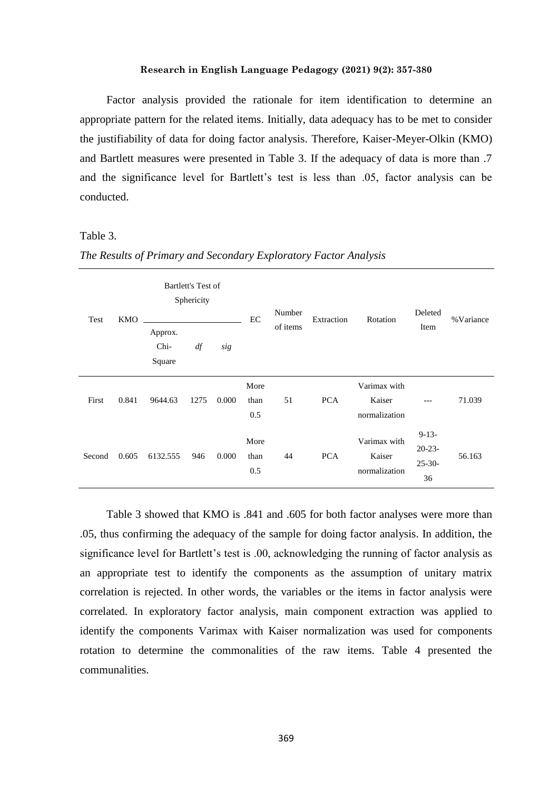Factor analysis provided the rationale for item identification to determine an appropriate pattern for the related items. Initially, data adequacy has to be met to consider the justifiability of data for doing factor analysis. Therefore, Kaiser-Meyer-Olkin (KMO) and Bartlett measures were presented in Table 3. If the adequacy of data is more than .7 and the significance level for Bartlett's test is less than .05, factor analysis can be conducted.

# Table 3.

|        | Bartlett's Test of<br>Sphericity<br><b>KMO</b><br>Test |                           |      | EC    | Number              | Extraction | Rotation   | Deleted                                 | % Variance                                  |        |
|--------|--------------------------------------------------------|---------------------------|------|-------|---------------------|------------|------------|-----------------------------------------|---------------------------------------------|--------|
|        |                                                        | Approx.<br>Chi-<br>Square | df   | sig   |                     | of items   |            |                                         | Item                                        |        |
| First  | 0.841                                                  | 9644.63                   | 1275 | 0.000 | More<br>than<br>0.5 | 51         | <b>PCA</b> | Varimax with<br>Kaiser<br>normalization | ---                                         | 71.039 |
| Second | 0.605                                                  | 6132.555                  | 946  | 0.000 | More<br>than<br>0.5 | 44         | <b>PCA</b> | Varimax with<br>Kaiser<br>normalization | $9-13-$<br>$20 - 23 -$<br>$25 - 30 -$<br>36 | 56.163 |

*The Results of Primary and Secondary Exploratory Factor Analysis*

Table 3 showed that KMO is .841 and .605 for both factor analyses were more than .05, thus confirming the adequacy of the sample for doing factor analysis. In addition, the significance level for Bartlett's test is .00, acknowledging the running of factor analysis as an appropriate test to identify the components as the assumption of unitary matrix correlation is rejected. In other words, the variables or the items in factor analysis were correlated. In exploratory factor analysis, main component extraction was applied to identify the components Varimax with Kaiser normalization was used for components rotation to determine the commonalities of the raw items. Table 4 presented the communalities.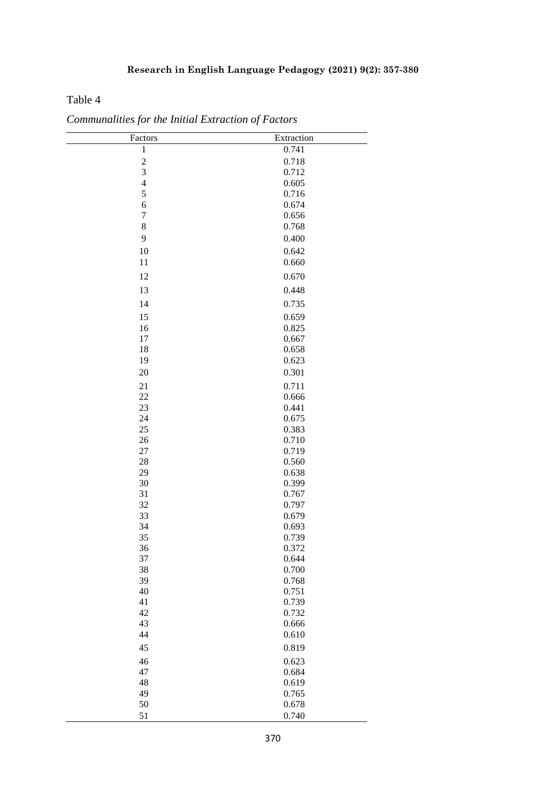# Table 4

| Factors                 | Extraction     |
|-------------------------|----------------|
| $\mathbf 1$             | 0.741          |
| $\overline{\mathbf{c}}$ | 0.718          |
| 3                       | 0.712          |
| $\overline{\mathbf{4}}$ | 0.605          |
| 5                       | 0.716          |
| 6                       | 0.674          |
| $\sqrt{ }$              | 0.656          |
| $8\,$                   | 0.768          |
| 9                       | 0.400          |
| 10                      | 0.642          |
| 11                      | 0.660          |
| 12                      | 0.670          |
| 13                      | 0.448          |
| 14                      | 0.735          |
| 15                      | 0.659          |
| 16                      | 0.825          |
| 17                      | 0.667          |
| 18                      | 0.658          |
| 19                      | 0.623          |
| 20                      | 0.301          |
| 21                      | 0.711          |
| $22\,$                  | 0.666          |
| 23                      | 0.441          |
| 24                      | 0.675          |
| 25                      | 0.383          |
| 26                      | 0.710          |
| $27\,$                  | 0.719          |
| 28                      | 0.560          |
| 29                      | 0.638          |
| 30                      | 0.399          |
| 31                      | 0.767          |
| 32                      | 0.797          |
| 33                      | 0.679          |
| 34                      | 0.693          |
| 35                      | 0.739          |
| 36                      | 0.372          |
| 37                      | 0.644          |
| 38<br>39                | 0.700<br>0.768 |
| 40                      | 0.751          |
| 41                      | 0.739          |
| 42                      | 0.732          |
| 43                      | 0.666          |
| 44                      | 0.610          |
| 45                      | 0.819          |
| 46                      | 0.623          |
| 47                      | 0.684          |
| 48                      | 0.619          |
| 49                      | 0.765          |
| 50                      | 0.678          |
| 51                      | 0.740          |

*Communalities for the Initial Extraction of Factors*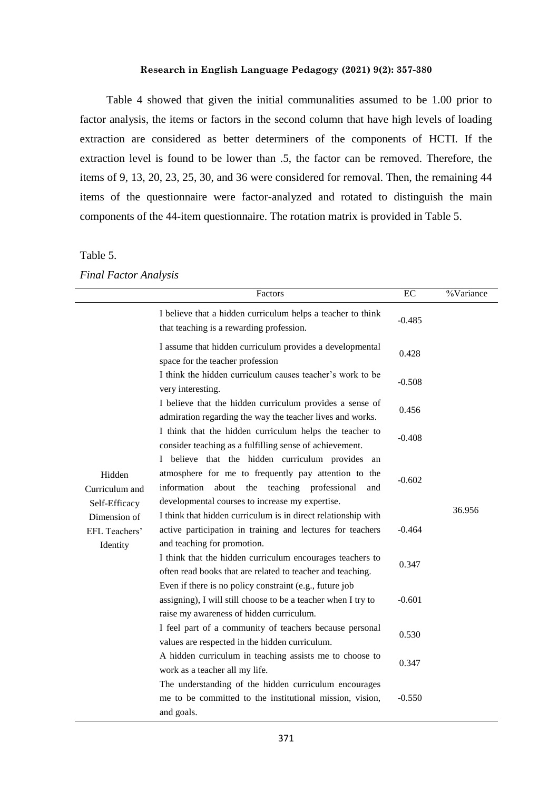Table 4 showed that given the initial communalities assumed to be 1.00 prior to factor analysis, the items or factors in the second column that have high levels of loading extraction are considered as better determiners of the components of HCTI. If the extraction level is found to be lower than .5, the factor can be removed. Therefore, the items of 9, 13, 20, 23, 25, 30, and 36 were considered for removal. Then, the remaining 44 items of the questionnaire were factor-analyzed and rotated to distinguish the main components of the 44-item questionnaire. The rotation matrix is provided in Table 5.

#### Table 5.

#### *Final Factor Analysis*

|                                           | Factors                                                                                                                                                                                                                    | EC       | %Variance |
|-------------------------------------------|----------------------------------------------------------------------------------------------------------------------------------------------------------------------------------------------------------------------------|----------|-----------|
|                                           | I believe that a hidden curriculum helps a teacher to think<br>that teaching is a rewarding profession.                                                                                                                    | $-0.485$ |           |
|                                           | I assume that hidden curriculum provides a developmental<br>space for the teacher profession                                                                                                                               | 0.428    |           |
|                                           | I think the hidden curriculum causes teacher's work to be<br>very interesting.                                                                                                                                             | $-0.508$ |           |
|                                           | I believe that the hidden curriculum provides a sense of<br>admiration regarding the way the teacher lives and works.                                                                                                      | 0.456    |           |
|                                           | I think that the hidden curriculum helps the teacher to<br>consider teaching as a fulfilling sense of achievement.                                                                                                         | $-0.408$ |           |
| Hidden<br>Curriculum and<br>Self-Efficacy | I believe that the hidden curriculum provides<br>an<br>atmosphere for me to frequently pay attention to the<br>information<br>the teaching professional<br>about<br>and<br>developmental courses to increase my expertise. | $-0.602$ |           |
| Dimension of<br>EFL Teachers'             | I think that hidden curriculum is in direct relationship with<br>active participation in training and lectures for teachers                                                                                                | $-0.464$ | 36.956    |
| Identity                                  | and teaching for promotion.<br>I think that the hidden curriculum encourages teachers to<br>often read books that are related to teacher and teaching.                                                                     | 0.347    |           |
|                                           | Even if there is no policy constraint (e.g., future job<br>assigning), I will still choose to be a teacher when I try to<br>raise my awareness of hidden curriculum.                                                       | $-0.601$ |           |
|                                           | I feel part of a community of teachers because personal<br>values are respected in the hidden curriculum.                                                                                                                  | 0.530    |           |
|                                           | A hidden curriculum in teaching assists me to choose to<br>work as a teacher all my life.                                                                                                                                  | 0.347    |           |
|                                           | The understanding of the hidden curriculum encourages<br>me to be committed to the institutional mission, vision,<br>and goals.                                                                                            | $-0.550$ |           |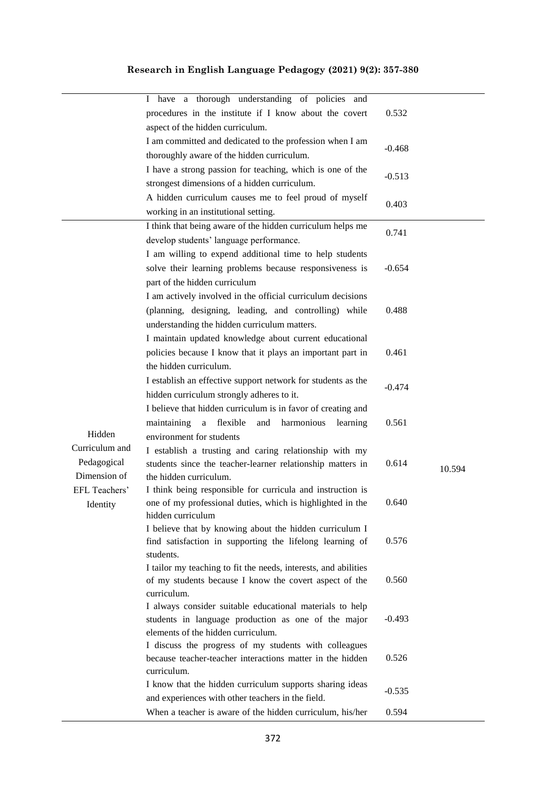|                | have a thorough understanding of policies and<br>Ι.                                                           | 0.532    |        |
|----------------|---------------------------------------------------------------------------------------------------------------|----------|--------|
|                | procedures in the institute if I know about the covert                                                        |          |        |
|                | aspect of the hidden curriculum.                                                                              |          |        |
|                | I am committed and dedicated to the profession when I am                                                      | $-0.468$ |        |
|                | thoroughly aware of the hidden curriculum.                                                                    |          |        |
|                | I have a strong passion for teaching, which is one of the                                                     | $-0.513$ |        |
|                | strongest dimensions of a hidden curriculum.                                                                  |          |        |
|                | A hidden curriculum causes me to feel proud of myself                                                         | 0.403    |        |
|                | working in an institutional setting.                                                                          |          |        |
|                | I think that being aware of the hidden curriculum helps me                                                    | 0.741    |        |
|                | develop students' language performance.                                                                       |          |        |
|                | I am willing to expend additional time to help students                                                       |          |        |
|                | solve their learning problems because responsiveness is                                                       | $-0.654$ |        |
|                | part of the hidden curriculum                                                                                 |          |        |
|                | I am actively involved in the official curriculum decisions                                                   |          |        |
|                | (planning, designing, leading, and controlling) while                                                         | 0.488    |        |
|                | understanding the hidden curriculum matters.                                                                  |          |        |
|                | I maintain updated knowledge about current educational                                                        |          |        |
|                | policies because I know that it plays an important part in                                                    | 0.461    |        |
|                | the hidden curriculum.                                                                                        |          |        |
|                | I establish an effective support network for students as the                                                  | $-0.474$ |        |
|                | hidden curriculum strongly adheres to it.                                                                     |          |        |
|                | I believe that hidden curriculum is in favor of creating and                                                  |          |        |
|                | maintaining<br>a flexible<br>harmonious<br>and<br>learning                                                    | 0.561    |        |
| Hidden         | environment for students                                                                                      |          |        |
| Curriculum and | I establish a trusting and caring relationship with my                                                        |          |        |
| Pedagogical    | students since the teacher-learner relationship matters in                                                    | 0.614    | 10.594 |
| Dimension of   | the hidden curriculum.                                                                                        |          |        |
| EFL Teachers'  | I think being responsible for curricula and instruction is                                                    | 0.640    |        |
| Identity       | one of my professional duties, which is highlighted in the<br>hidden curriculum                               |          |        |
|                | I believe that by knowing about the hidden curriculum I                                                       |          |        |
|                | find satisfaction in supporting the lifelong learning of                                                      | 0.576    |        |
|                | students.                                                                                                     |          |        |
|                | I tailor my teaching to fit the needs, interests, and abilities                                               |          |        |
|                | of my students because I know the covert aspect of the                                                        | 0.560    |        |
|                | curriculum.                                                                                                   |          |        |
|                | I always consider suitable educational materials to help                                                      |          |        |
|                | students in language production as one of the major                                                           | $-0.493$ |        |
|                | elements of the hidden curriculum.                                                                            |          |        |
|                | I discuss the progress of my students with colleagues                                                         |          |        |
|                | because teacher-teacher interactions matter in the hidden                                                     | 0.526    |        |
|                | curriculum.                                                                                                   |          |        |
|                | I know that the hidden curriculum supports sharing ideas<br>and experiences with other teachers in the field. | $-0.535$ |        |
|                |                                                                                                               |          |        |
|                | When a teacher is aware of the hidden curriculum, his/her                                                     | 0.594    |        |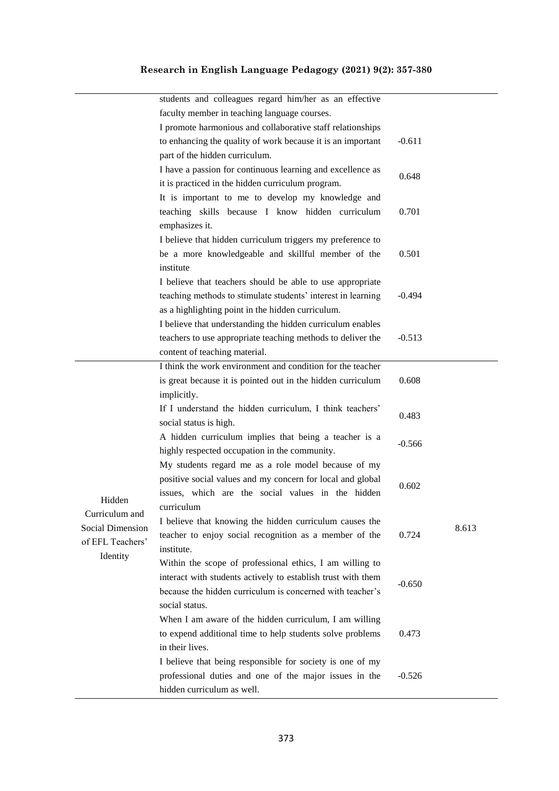|                                                                    | students and colleagues regard him/her as an effective       |          |       |
|--------------------------------------------------------------------|--------------------------------------------------------------|----------|-------|
|                                                                    | faculty member in teaching language courses.                 |          |       |
|                                                                    | I promote harmonious and collaborative staff relationships   |          |       |
|                                                                    | to enhancing the quality of work because it is an important  | $-0.611$ |       |
|                                                                    | part of the hidden curriculum.                               |          |       |
|                                                                    | I have a passion for continuous learning and excellence as   | 0.648    |       |
|                                                                    | it is practiced in the hidden curriculum program.            |          |       |
|                                                                    | It is important to me to develop my knowledge and            |          |       |
|                                                                    | teaching skills because I know hidden curriculum             | 0.701    |       |
|                                                                    | emphasizes it.                                               |          |       |
|                                                                    | I believe that hidden curriculum triggers my preference to   |          |       |
|                                                                    | be a more knowledgeable and skillful member of the           | 0.501    |       |
|                                                                    | institute                                                    |          |       |
|                                                                    | I believe that teachers should be able to use appropriate    |          |       |
|                                                                    | teaching methods to stimulate students' interest in learning | $-0.494$ |       |
|                                                                    | as a highlighting point in the hidden curriculum.            |          |       |
|                                                                    | I believe that understanding the hidden curriculum enables   |          |       |
|                                                                    | teachers to use appropriate teaching methods to deliver the  | $-0.513$ |       |
|                                                                    | content of teaching material.                                |          |       |
|                                                                    | I think the work environment and condition for the teacher   |          |       |
|                                                                    | is great because it is pointed out in the hidden curriculum  | 0.608    |       |
|                                                                    | implicitly.                                                  |          |       |
|                                                                    | If I understand the hidden curriculum, I think teachers'     | 0.483    |       |
|                                                                    | social status is high.                                       |          |       |
|                                                                    | A hidden curriculum implies that being a teacher is a        | $-0.566$ |       |
|                                                                    | highly respected occupation in the community.                |          |       |
|                                                                    | My students regard me as a role model because of my          |          |       |
|                                                                    | positive social values and my concern for local and global   | 0.602    |       |
| Hidden                                                             | issues, which are the social values in the hidden            |          |       |
| Curriculum and<br>Social Dimension<br>of EFL Teachers'<br>Identity | curriculum                                                   |          |       |
|                                                                    | I believe that knowing the hidden curriculum causes the      |          | 8.613 |
|                                                                    | teacher to enjoy social recognition as a member of the       | 0.724    |       |
|                                                                    | institute.                                                   |          |       |
|                                                                    | Within the scope of professional ethics, I am willing to     |          |       |
|                                                                    | interact with students actively to establish trust with them | $-0.650$ |       |
|                                                                    | because the hidden curriculum is concerned with teacher's    |          |       |
|                                                                    | social status.                                               |          |       |
|                                                                    | When I am aware of the hidden curriculum, I am willing       |          |       |
|                                                                    | to expend additional time to help students solve problems    | 0.473    |       |
|                                                                    | in their lives.                                              |          |       |
|                                                                    | I believe that being responsible for society is one of my    |          |       |
|                                                                    | professional duties and one of the major issues in the       | $-0.526$ |       |
|                                                                    | hidden curriculum as well.                                   |          |       |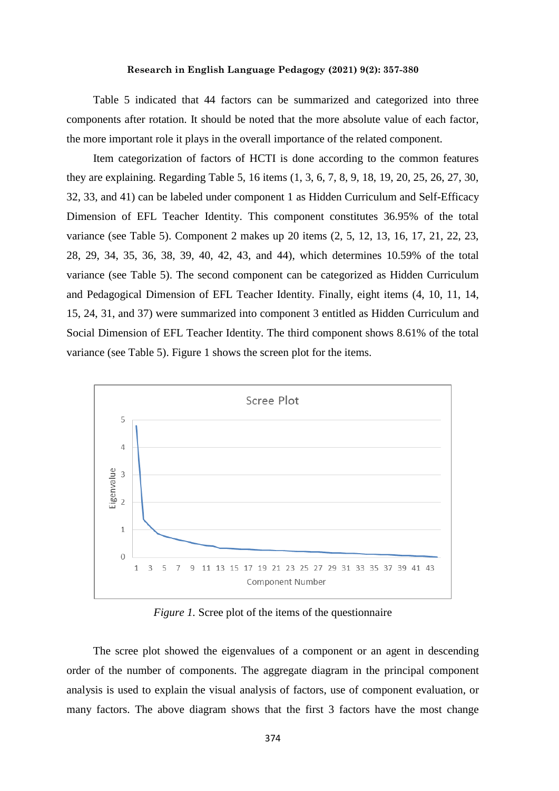Table 5 indicated that 44 factors can be summarized and categorized into three components after rotation. It should be noted that the more absolute value of each factor, the more important role it plays in the overall importance of the related component.

Item categorization of factors of HCTI is done according to the common features they are explaining. Regarding Table 5, 16 items (1, 3, 6, 7, 8, 9, 18, 19, 20, 25, 26, 27, 30, 32, 33, and 41) can be labeled under component 1 as Hidden Curriculum and Self-Efficacy Dimension of EFL Teacher Identity. This component constitutes 36.95% of the total variance (see Table 5). Component 2 makes up 20 items (2, 5, 12, 13, 16, 17, 21, 22, 23, 28, 29, 34, 35, 36, 38, 39, 40, 42, 43, and 44), which determines 10.59% of the total variance (see Table 5). The second component can be categorized as Hidden Curriculum and Pedagogical Dimension of EFL Teacher Identity. Finally, eight items (4, 10, 11, 14, 15, 24, 31, and 37) were summarized into component 3 entitled as Hidden Curriculum and Social Dimension of EFL Teacher Identity. The third component shows 8.61% of the total variance (see Table 5). Figure 1 shows the screen plot for the items.



*Figure 1.* Scree plot of the items of the questionnaire

The scree plot showed the eigenvalues of a component or an agent in descending order of the number of components. The aggregate diagram in the principal component analysis is used to explain the visual analysis of factors, use of component evaluation, or many factors. The above diagram shows that the first 3 factors have the most change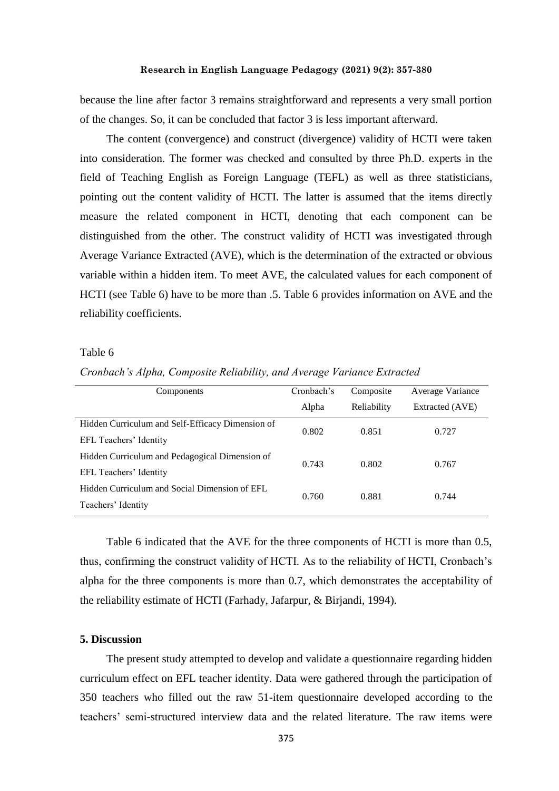because the line after factor 3 remains straightforward and represents a very small portion of the changes. So, it can be concluded that factor 3 is less important afterward.

The content (convergence) and construct (divergence) validity of HCTI were taken into consideration. The former was checked and consulted by three Ph.D. experts in the field of Teaching English as Foreign Language (TEFL) as well as three statisticians, pointing out the content validity of HCTI. The latter is assumed that the items directly measure the related component in HCTI, denoting that each component can be distinguished from the other. The construct validity of HCTI was investigated through Average Variance Extracted (AVE), which is the determination of the extracted or obvious variable within a hidden item. To meet AVE, the calculated values for each component of HCTI (see Table 6) have to be more than .5. Table 6 provides information on AVE and the reliability coefficients.

#### Table 6

| Cronbach's Alpha, Composite Reliability, and Average Variance Extracted |  |  |
|-------------------------------------------------------------------------|--|--|
|                                                                         |  |  |

| Components                                       | Cronbach's | Composite   | Average Variance |  |
|--------------------------------------------------|------------|-------------|------------------|--|
|                                                  | Alpha      | Reliability | Extracted (AVE)  |  |
| Hidden Curriculum and Self-Efficacy Dimension of | 0.802      | 0.851       | 0.727            |  |
| EFL Teachers' Identity                           |            |             |                  |  |
| Hidden Curriculum and Pedagogical Dimension of   | 0.743      | 0.802       | 0.767            |  |
| EFL Teachers' Identity                           |            |             |                  |  |
| Hidden Curriculum and Social Dimension of EFL    | 0.760      |             | 0.744            |  |
| Teachers' Identity                               |            | 0.881       |                  |  |

Table 6 indicated that the AVE for the three components of HCTI is more than 0.5, thus, confirming the construct validity of HCTI. As to the reliability of HCTI, Cronbach's alpha for the three components is more than 0.7, which demonstrates the acceptability of the reliability estimate of HCTI (Farhady, Jafarpur, & Birjandi, 1994).

#### **5. Discussion**

The present study attempted to develop and validate a questionnaire regarding hidden curriculum effect on EFL teacher identity. Data were gathered through the participation of 350 teachers who filled out the raw 51-item questionnaire developed according to the teachers' semi-structured interview data and the related literature. The raw items were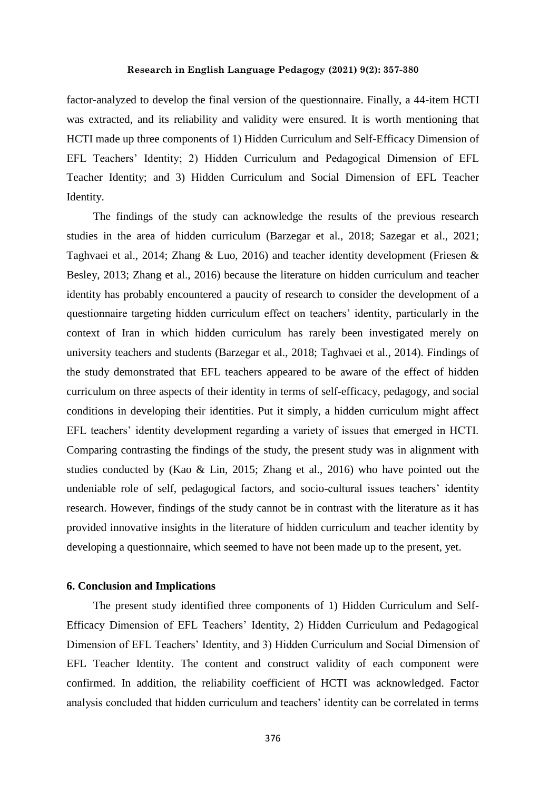factor-analyzed to develop the final version of the questionnaire. Finally, a 44-item HCTI was extracted, and its reliability and validity were ensured. It is worth mentioning that HCTI made up three components of 1) Hidden Curriculum and Self-Efficacy Dimension of EFL Teachers' Identity; 2) Hidden Curriculum and Pedagogical Dimension of EFL Teacher Identity; and 3) Hidden Curriculum and Social Dimension of EFL Teacher Identity.

The findings of the study can acknowledge the results of the previous research studies in the area of hidden curriculum (Barzegar et al., 2018; Sazegar et al., 2021; Taghvaei et al., 2014; Zhang & Luo, 2016) and teacher identity development (Friesen & Besley, 2013; Zhang et al., 2016) because the literature on hidden curriculum and teacher identity has probably encountered a paucity of research to consider the development of a questionnaire targeting hidden curriculum effect on teachers' identity, particularly in the context of Iran in which hidden curriculum has rarely been investigated merely on university teachers and students (Barzegar et al., 2018; Taghvaei et al., 2014). Findings of the study demonstrated that EFL teachers appeared to be aware of the effect of hidden curriculum on three aspects of their identity in terms of self-efficacy, pedagogy, and social conditions in developing their identities. Put it simply, a hidden curriculum might affect EFL teachers' identity development regarding a variety of issues that emerged in HCTI. Comparing contrasting the findings of the study, the present study was in alignment with studies conducted by (Kao & Lin, 2015; Zhang et al., 2016) who have pointed out the undeniable role of self, pedagogical factors, and socio-cultural issues teachers' identity research. However, findings of the study cannot be in contrast with the literature as it has provided innovative insights in the literature of hidden curriculum and teacher identity by developing a questionnaire, which seemed to have not been made up to the present, yet.

## **6. Conclusion and Implications**

The present study identified three components of 1) Hidden Curriculum and Self-Efficacy Dimension of EFL Teachers' Identity, 2) Hidden Curriculum and Pedagogical Dimension of EFL Teachers' Identity, and 3) Hidden Curriculum and Social Dimension of EFL Teacher Identity. The content and construct validity of each component were confirmed. In addition, the reliability coefficient of HCTI was acknowledged. Factor analysis concluded that hidden curriculum and teachers' identity can be correlated in terms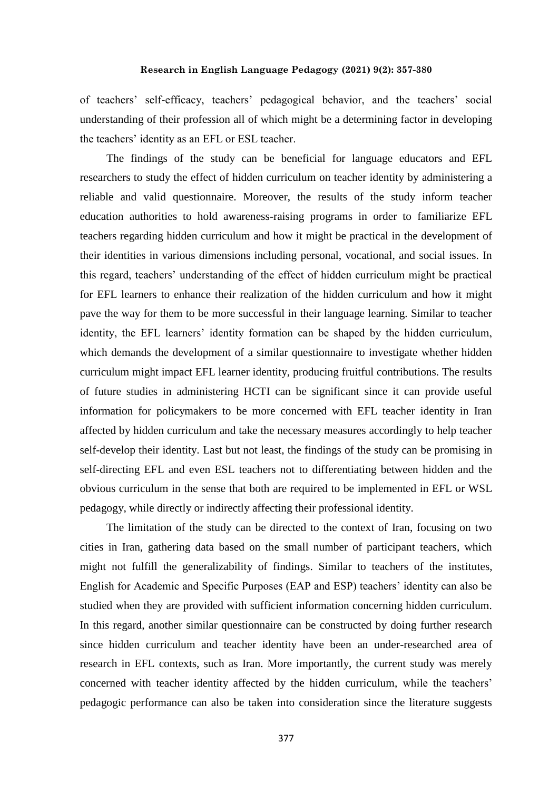of teachers' self-efficacy, teachers' pedagogical behavior, and the teachers' social understanding of their profession all of which might be a determining factor in developing the teachers' identity as an EFL or ESL teacher.

The findings of the study can be beneficial for language educators and EFL researchers to study the effect of hidden curriculum on teacher identity by administering a reliable and valid questionnaire. Moreover, the results of the study inform teacher education authorities to hold awareness-raising programs in order to familiarize EFL teachers regarding hidden curriculum and how it might be practical in the development of their identities in various dimensions including personal, vocational, and social issues. In this regard, teachers' understanding of the effect of hidden curriculum might be practical for EFL learners to enhance their realization of the hidden curriculum and how it might pave the way for them to be more successful in their language learning. Similar to teacher identity, the EFL learners' identity formation can be shaped by the hidden curriculum, which demands the development of a similar questionnaire to investigate whether hidden curriculum might impact EFL learner identity, producing fruitful contributions. The results of future studies in administering HCTI can be significant since it can provide useful information for policymakers to be more concerned with EFL teacher identity in Iran affected by hidden curriculum and take the necessary measures accordingly to help teacher self-develop their identity. Last but not least, the findings of the study can be promising in self-directing EFL and even ESL teachers not to differentiating between hidden and the obvious curriculum in the sense that both are required to be implemented in EFL or WSL pedagogy, while directly or indirectly affecting their professional identity.

The limitation of the study can be directed to the context of Iran, focusing on two cities in Iran, gathering data based on the small number of participant teachers, which might not fulfill the generalizability of findings. Similar to teachers of the institutes, English for Academic and Specific Purposes (EAP and ESP) teachers' identity can also be studied when they are provided with sufficient information concerning hidden curriculum. In this regard, another similar questionnaire can be constructed by doing further research since hidden curriculum and teacher identity have been an under-researched area of research in EFL contexts, such as Iran. More importantly, the current study was merely concerned with teacher identity affected by the hidden curriculum, while the teachers' pedagogic performance can also be taken into consideration since the literature suggests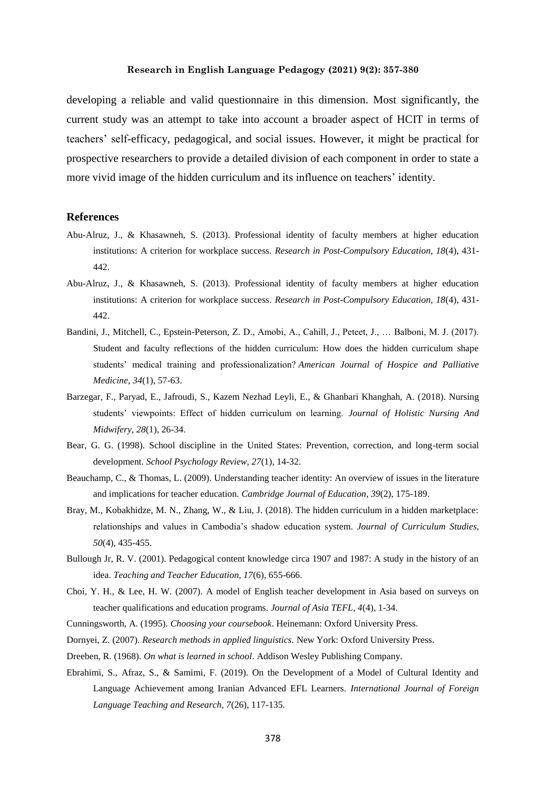developing a reliable and valid questionnaire in this dimension. Most significantly, the current study was an attempt to take into account a broader aspect of HCIT in terms of teachers' self-efficacy, pedagogical, and social issues. However, it might be practical for prospective researchers to provide a detailed division of each component in order to state a more vivid image of the hidden curriculum and its influence on teachers' identity.

#### **References**

- Abu-Alruz, J., & Khasawneh, S. (2013). Professional identity of faculty members at higher education institutions: A criterion for workplace success. *Research in Post-Compulsory Education, 18*(4), 431- 442.
- Abu-Alruz, J., & Khasawneh, S. (2013). Professional identity of faculty members at higher education institutions: A criterion for workplace success. *Research in Post-Compulsory Education, 18*(4), 431- 442.
- Bandini, J., Mitchell, C., Epstein-Peterson, Z. D., Amobi, A., Cahill, J., Peteet, J., … Balboni, M. J. (2017). Student and faculty reflections of the hidden curriculum: How does the hidden curriculum shape students' medical training and professionalization? *American Journal of Hospice and Palliative Medicine*, *34*(1), 57-63.
- Barzegar, F., Paryad, E., Jafroudi, S., Kazem Nezhad Leyli, E., & Ghanbari Khanghah, A. (2018). Nursing students' viewpoints: Effect of hidden curriculum on learning. *Journal of Holistic Nursing And Midwifery, 28*(1), 26-34.
- Bear, G. G. (1998). School discipline in the United States: Prevention, correction, and long-term social development. *School Psychology Review, 27*(1), 14-32.
- Beauchamp, C., & Thomas, L. (2009). Understanding teacher identity: An overview of issues in the literature and implications for teacher education. *Cambridge Journal of Education, 39*(2), 175-189.
- Bray, M., Kobakhidze, M. N., Zhang, W., & Liu, J. (2018). The hidden curriculum in a hidden marketplace: relationships and values in Cambodia's shadow education system. *Journal of Curriculum Studies, 50*(4), 435-455.
- Bullough Jr, R. V. (2001). Pedagogical content knowledge circa 1907 and 1987: A study in the history of an idea. *Teaching and Teacher Education, 17*(6), 655-666.
- Choi, Y. H., & Lee, H. W. (2007). A model of English teacher development in Asia based on surveys on teacher qualifications and education programs. *Journal of Asia TEFL, 4*(4), 1-34.
- Cunningsworth, A. (1995). *Choosing your coursebook*. Heinemann: Oxford University Press.
- Dornyei, Z. (2007). *Research methods in applied linguistics.* New York: Oxford University Press.
- Dreeben, R. (1968). *On what is learned in school*. Addison Wesley Publishing Company.
- Ebrahimi, S., Afraz, S., & Samimi, F. (2019). On the Development of a Model of Cultural Identity and Language Achievement among Iranian Advanced EFL Learners. *International Journal of Foreign Language Teaching and Research, 7*(26), 117-135.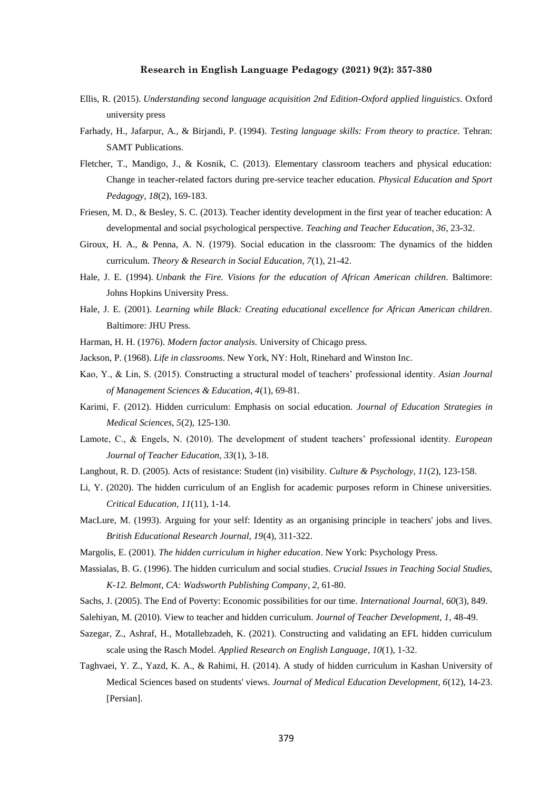- Ellis, R. (2015). *Understanding second language acquisition 2nd Edition-Oxford applied linguistics*. Oxford university press
- Farhady, H., Jafarpur, A., & Birjandi, P. (1994). *Testing language skills: From theory to practice.* Tehran: SAMT Publications.
- Fletcher, T., Mandigo, J., & Kosnik, C. (2013). Elementary classroom teachers and physical education: Change in teacher-related factors during pre-service teacher education. *Physical Education and Sport Pedagogy, 18*(2), 169-183.
- Friesen, M. D., & Besley, S. C. (2013). Teacher identity development in the first year of teacher education: A developmental and social psychological perspective. *Teaching and Teacher Education, 36*, 23-32.
- Giroux, H. A., & Penna, A. N. (1979). Social education in the classroom: The dynamics of the hidden curriculum. *Theory & Research in Social Education, 7*(1), 21-42.
- Hale, J. E. (1994). *Unbank the Fire. Visions for the education of African American children*. Baltimore: Johns Hopkins University Press.
- Hale, J. E. (2001). *Learning while Black: Creating educational excellence for African American children.* Baltimore: JHU Press.
- Harman, H. H. (1976). *Modern factor analysis.* University of Chicago press.
- Jackson, P. (1968). *Life in classrooms*. New York, NY: Holt, Rinehard and Winston Inc.
- Kao, Y., & Lin, S. (2015). Constructing a structural model of teachers' professional identity. *Asian Journal of Management Sciences & Education, 4*(1), 69-81.
- Karimi, F. (2012). Hidden curriculum: Emphasis on social education. *Journal of Education Strategies in Medical Sciences, 5*(2), 125-130.
- Lamote, C., & Engels, N. (2010). The development of student teachers' professional identity. *European Journal of Teacher Education, 33*(1), 3-18.
- Langhout, R. D. (2005). Acts of resistance: Student (in) visibility. *Culture & Psychology, 11*(2), 123-158.
- Li, Y. (2020). The hidden curriculum of an English for academic purposes reform in Chinese universities. *Critical Education, 11*(11), 1-14.
- MacLure, M. (1993). Arguing for your self: Identity as an organising principle in teachers' jobs and lives. *British Educational Research Journal, 19*(4), 311-322.
- Margolis, E. (2001). *The hidden curriculum in higher education*. New York: Psychology Press.
- Massialas, B. G. (1996). The hidden curriculum and social studies. *Crucial Issues in Teaching Social Studies, K-12. Belmont, CA: Wadsworth Publishing Company*, *2*, 61-80.
- Sachs, J. (2005). The End of Poverty: Economic possibilities for our time. *International Journal, 60*(3), 849.
- Salehiyan, M. (2010). View to teacher and hidden curriculum. *Journal of Teacher Development, 1,* 48-49.
- Sazegar, Z., Ashraf, H., Motallebzadeh, K. (2021). Constructing and validating an EFL hidden curriculum scale using the Rasch Model. *Applied Research on English Language*, *10*(1), 1-32.
- Taghvaei, Y. Z., Yazd, K. A., & Rahimi, H. (2014). A study of hidden curriculum in Kashan University of Medical Sciences based on students' views. *Journal of Medical Education Development, 6*(12), 14-23. [Persian].